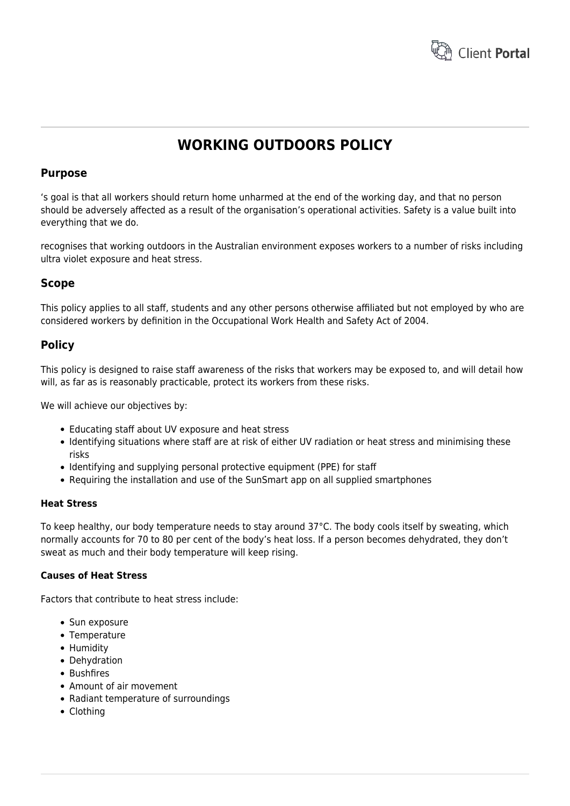

# **WORKING OUTDOORS POLICY**

# **Purpose**

's goal is that all workers should return home unharmed at the end of the working day, and that no person should be adversely affected as a result of the organisation's operational activities. Safety is a value built into everything that we do.

recognises that working outdoors in the Australian environment exposes workers to a number of risks including ultra violet exposure and heat stress.

# **Scope**

This policy applies to all staff, students and any other persons otherwise affiliated but not employed by who are considered workers by definition in the Occupational Work Health and Safety Act of 2004.

# **Policy**

This policy is designed to raise staff awareness of the risks that workers may be exposed to, and will detail how will, as far as is reasonably practicable, protect its workers from these risks.

We will achieve our objectives by:

- Educating staff about UV exposure and heat stress
- Identifying situations where staff are at risk of either UV radiation or heat stress and minimising these risks
- Identifying and supplying personal protective equipment (PPE) for staff
- Requiring the installation and use of the SunSmart app on all supplied smartphones

# **Heat Stress**

To keep healthy, our body temperature needs to stay around 37°C. The body cools itself by sweating, which normally accounts for 70 to 80 per cent of the body's heat loss. If a person becomes dehydrated, they don't sweat as much and their body temperature will keep rising.

# **Causes of Heat Stress**

Factors that contribute to heat stress include:

- Sun exposure
- Temperature
- Humidity
- Dehydration
- Bushfires
- Amount of air movement
- Radiant temperature of surroundings
- Clothing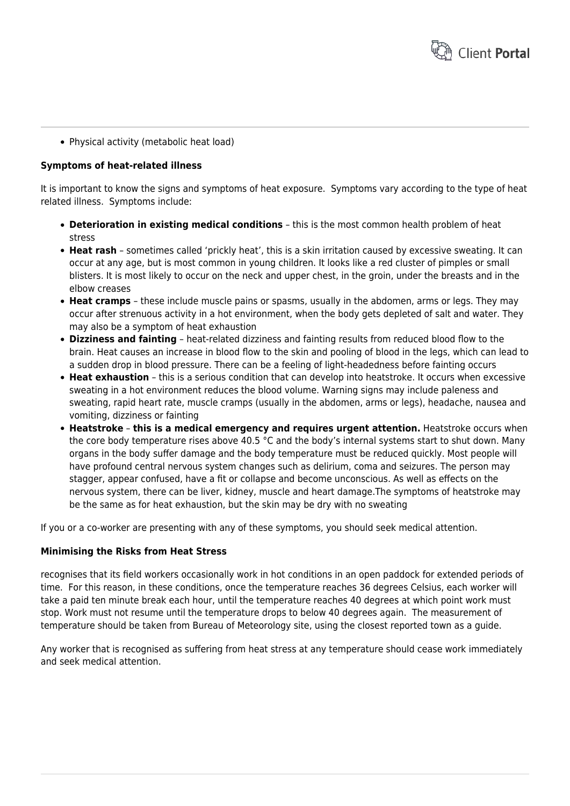

• Physical activity (metabolic heat load)

# **Symptoms of heat-related illness**

It is important to know the signs and symptoms of heat exposure. Symptoms vary according to the type of heat related illness. Symptoms include:

- **Deterioration in existing medical conditions** this is the most common health problem of heat stress
- **Heat rash** sometimes called 'prickly heat', this is a skin irritation caused by excessive sweating. It can occur at any age, but is most common in young children. It looks like a red cluster of pimples or small blisters. It is most likely to occur on the neck and upper chest, in the groin, under the breasts and in the elbow creases
- **Heat cramps** these include muscle pains or spasms, usually in the abdomen, arms or legs. They may occur after strenuous activity in a hot environment, when the body gets depleted of salt and water. They may also be a symptom of heat exhaustion
- **Dizziness and fainting** heat-related dizziness and fainting results from reduced blood flow to the brain. Heat causes an increase in blood flow to the skin and pooling of blood in the legs, which can lead to a sudden drop in blood pressure. There can be a feeling of light-headedness before fainting occurs
- **Heat exhaustion** this is a serious condition that can develop into heatstroke. It occurs when excessive sweating in a hot environment reduces the blood volume. Warning signs may include paleness and sweating, rapid heart rate, muscle cramps (usually in the abdomen, arms or legs), headache, nausea and vomiting, dizziness or fainting
- **Heatstroke this is a medical emergency and requires urgent attention.** Heatstroke occurs when the core body temperature rises above 40.5 °C and the body's internal systems start to shut down. Many organs in the body suffer damage and the body temperature must be reduced quickly. Most people will have profound central nervous system changes such as delirium, coma and seizures. The person may stagger, appear confused, have a fit or collapse and become unconscious. As well as effects on the nervous system, there can be liver, kidney, muscle and heart damage.The symptoms of heatstroke may be the same as for heat exhaustion, but the skin may be dry with no sweating

If you or a co-worker are presenting with any of these symptoms, you should seek medical attention.

## **Minimising the Risks from Heat Stress**

recognises that its field workers occasionally work in hot conditions in an open paddock for extended periods of time. For this reason, in these conditions, once the temperature reaches 36 degrees Celsius, each worker will take a paid ten minute break each hour, until the temperature reaches 40 degrees at which point work must stop. Work must not resume until the temperature drops to below 40 degrees again. The measurement of temperature should be taken from Bureau of Meteorology site, using the closest reported town as a guide.

Any worker that is recognised as suffering from heat stress at any temperature should cease work immediately and seek medical attention.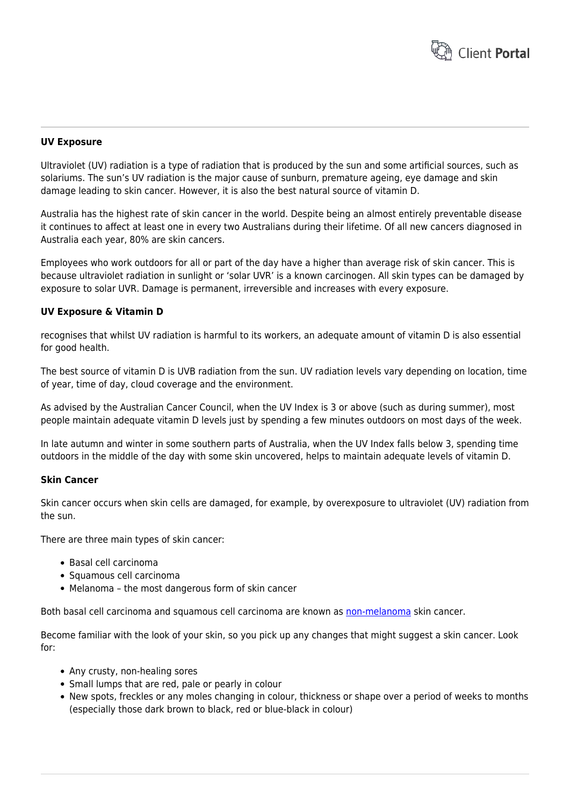

## **UV Exposure**

Ultraviolet (UV) radiation is a type of radiation that is produced by the sun and some artificial sources, such as solariums. The sun's UV radiation is the major cause of sunburn, premature ageing, eye damage and skin damage leading to skin cancer. However, it is also the best natural source of vitamin D.

Australia has the highest rate of skin cancer in the world. Despite being an almost entirely preventable disease it continues to affect at least one in every two Australians during their lifetime. Of all new cancers diagnosed in Australia each year, 80% are skin cancers.

Employees who work outdoors for all or part of the day have a higher than average risk of skin cancer. This is because ultraviolet radiation in sunlight or 'solar UVR' is a known carcinogen. All skin types can be damaged by exposure to solar UVR. Damage is permanent, irreversible and increases with every exposure.

#### **UV Exposure & Vitamin D**

recognises that whilst UV radiation is harmful to its workers, an adequate amount of vitamin D is also essential for good health.

The best source of vitamin D is UVB radiation from the sun. UV radiation levels vary depending on location, time of year, time of day, cloud coverage and the environment.

As advised by the Australian Cancer Council, when the UV Index is 3 or above (such as during summer), most people maintain adequate vitamin D levels just by spending a few minutes outdoors on most days of the week.

In late autumn and winter in some southern parts of Australia, when the UV Index falls below 3, spending time outdoors in the middle of the day with some skin uncovered, helps to maintain adequate levels of vitamin D.

# **Skin Cancer**

Skin cancer occurs when skin cells are damaged, for example, by overexposure to ultraviolet (UV) radiation from the sun.

There are three main types of skin cancer:

- Basal cell carcinoma
- Squamous cell carcinoma
- Melanoma the most dangerous form of skin cancer

Both basal cell carcinoma and squamous cell carcinoma are known as [non-melanoma](http://www.cancer.org.au/about-cancer/types-of-cancer/skin-cancer/non-melanoma.html) skin cancer.

Become familiar with the look of your skin, so you pick up any changes that might suggest a skin cancer. Look for:

- Any crusty, non-healing sores
- Small lumps that are red, pale or pearly in colour
- New spots, freckles or any moles changing in colour, thickness or shape over a period of weeks to months (especially those dark brown to black, red or blue-black in colour)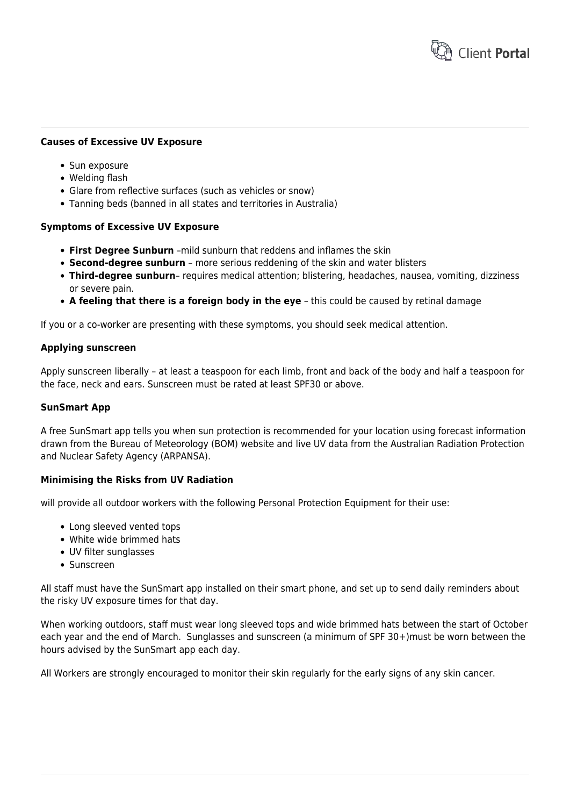

### **Causes of Excessive UV Exposure**

- Sun exposure
- Welding flash
- Glare from reflective surfaces (such as vehicles or snow)
- Tanning beds (banned in all states and territories in Australia)

#### **Symptoms of Excessive UV Exposure**

- **First Degree Sunburn** –mild sunburn that reddens and inflames the skin
- **Second-degree sunburn** more serious reddening of the skin and water blisters
- **Third-degree sunburn** requires medical attention; blistering, headaches, nausea, vomiting, dizziness or severe pain.
- **A feeling that there is a foreign body in the eye** this could be caused by retinal damage

If you or a co-worker are presenting with these symptoms, you should seek medical attention.

#### **Applying sunscreen**

Apply sunscreen liberally – at least a teaspoon for each limb, front and back of the body and half a teaspoon for the face, neck and ears. Sunscreen must be rated at least SPF30 or above.

#### **SunSmart App**

A free SunSmart app tells you when sun protection is recommended for your location using forecast information drawn from the Bureau of Meteorology (BOM) website and live UV data from the Australian Radiation Protection and Nuclear Safety Agency (ARPANSA).

#### **Minimising the Risks from UV Radiation**

will provide all outdoor workers with the following Personal Protection Equipment for their use:

- Long sleeved vented tops
- White wide brimmed hats
- UV filter sunglasses
- Sunscreen

All staff must have the SunSmart app installed on their smart phone, and set up to send daily reminders about the risky UV exposure times for that day.

When working outdoors, staff must wear long sleeved tops and wide brimmed hats between the start of October each year and the end of March. Sunglasses and sunscreen (a minimum of SPF 30+)must be worn between the hours advised by the SunSmart app each day.

All Workers are strongly encouraged to monitor their skin regularly for the early signs of any skin cancer.